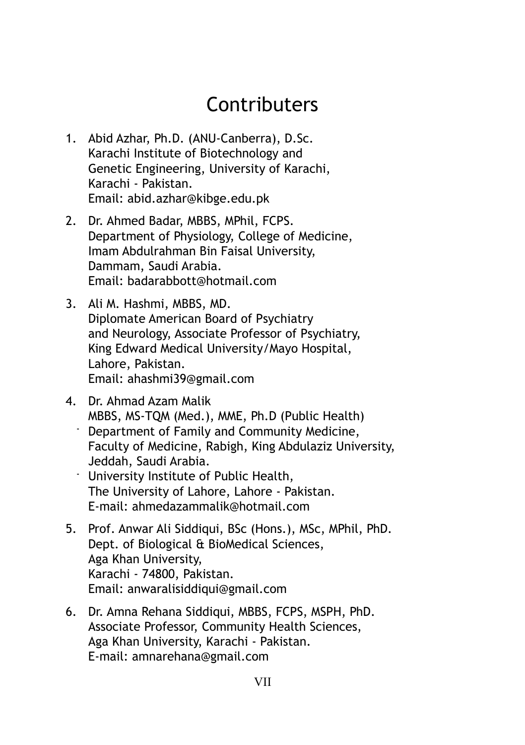## **Contributers**

- 1. Abid Azhar, Ph.D. (ANU-Canberra), D.Sc. Karachi Institute of Biotechnology and Genetic Engineering, University of Karachi, Karachi - Pakistan. Email: abid.azhar@kibge.edu.pk
- 2. Dr. Ahmed Badar, MBBS, MPhil, FCPS. Department of Physiology, College of Medicine, Imam Abdulrahman Bin Faisal University, Dammam, Saudi Arabia. Email: badarabbott@hotmail.com
- 3. Ali M. Hashmi, MBBS, MD. Diplomate American Board of Psychiatry and Neurology, Associate Professor of Psychiatry, King Edward Medical University/Mayo Hospital, Lahore, Pakistan. Email: ahashmi39@gmail.com
- 4. Dr. Ahmad Azam Malik MBBS, MS-TQM (Med.), MME, Ph.D (Public Health)
	- **-** Department of Family and Community Medicine, Faculty of Medicine, Rabigh, King Abdulaziz University, Jeddah, Saudi Arabia.
	- **-** University Institute of Public Health, The University of Lahore, Lahore - Pakistan. E-mail: [ahmedazammalik@hotmail.com](mailto:ahmedazammalik@hotmail.com)
- 5. Prof. Anwar Ali Siddiqui, BSc (Hons.), MSc, MPhil, PhD. Dept. of Biological & BioMedical Sciences, Aga Khan University, Karachi - 74800, Pakistan. Email: anwaralisiddiqui@gmail.com
- 6. Dr. Amna Rehana Siddiqui, MBBS, FCPS, MSPH, PhD. Associate Professor, Community Health Sciences, Aga Khan University, Karachi - Pakistan. E-mail: amnarehana@gmail.com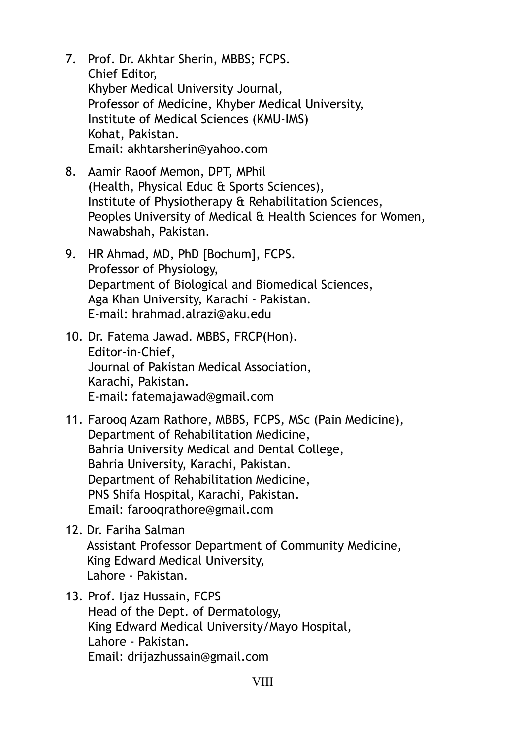- 7. Prof. Dr. Akhtar Sherin, MBBS; FCPS. Chief Editor, Khyber Medical University Journal, Professor of Medicine, Khyber Medical University, Institute of Medical Sciences (KMU-IMS) Kohat, Pakistan. Email: akhtarsherin@yahoo.com
- 8. Aamir Raoof Memon, DPT, MPhil (Health, Physical Educ & Sports Sciences), Institute of Physiotherapy & Rehabilitation Sciences, Peoples University of Medical & Health Sciences for Women, Nawabshah, Pakistan.
- 9. HR Ahmad, MD, PhD [Bochum], FCPS. Professor of Physiology, Department of Biological and Biomedical Sciences, Aga Khan University, Karachi - Pakistan. E-mail: hrahmad.alrazi@aku.edu
- 10. Dr. Fatema Jawad. MBBS, FRCP(Hon). Editor-in-Chief, Journal of Pakistan Medical Association, Karachi, Pakistan. E-mail: fatemajawad@gmail.com
- 11. Farooq Azam Rathore, MBBS, FCPS, MSc (Pain Medicine), Department of Rehabilitation Medicine, Bahria University Medical and Dental College, Bahria University, Karachi, Pakistan. Department of Rehabilitation Medicine, PNS Shifa Hospital, Karachi, Pakistan. Email: farooqrathore@gmail.com
- 12. Dr. Fariha Salman Assistant Professor Department of Community Medicine, King Edward Medical University, Lahore - Pakistan.
- 13. Prof. Ijaz Hussain, FCPS Head of the Dept. of Dermatology, King Edward Medical University/Mayo Hospital, Lahore - Pakistan. Email: drijazhussain@gmail.com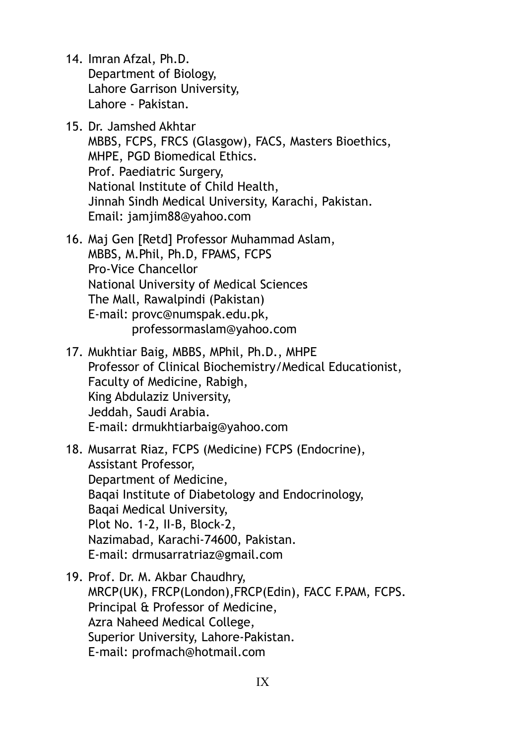- 14. Imran Afzal, Ph.D. Department of Biology, Lahore Garrison University, Lahore - Pakistan.
- 15. Dr. Jamshed Akhtar
	- MBBS, FCPS, FRCS (Glasgow), FACS, Masters Bioethics, MHPE, PGD Biomedical Ethics. Prof. Paediatric Surgery, National Institute of Child Health, Jinnah Sindh Medical University, Karachi, Pakistan. Email: jamjim88@yahoo.com
- 16. Maj Gen [Retd] Professor Muhammad Aslam, MBBS, M.Phil, Ph.D, FPAMS, FCPS Pro-Vice Chancellor National University of Medical Sciences The Mall, Rawalpindi (Pakistan) E-mail: provc@numspak.edu.pk, professormaslam@yahoo.com
- 17. Mukhtiar Baig, MBBS, MPhil, Ph.D., MHPE Professor of Clinical Biochemistry/Medical Educationist, Faculty of Medicine, Rabigh, King Abdulaziz University, Jeddah, Saudi Arabia. E-mail: [drmukhtiarbaig@yahoo.com](mailto:drmukhtiarbaig@yahoo.com)
- 18. Musarrat Riaz, FCPS (Medicine) FCPS (Endocrine), Assistant Professor, Department of Medicine, Baqai Institute of Diabetology and Endocrinology, Baqai Medical University, Plot No. 1-2, II-B, Block-2, Nazimabad, Karachi-74600, Pakistan. E-mail: drmusarratriaz@gmail.com
- 19. Prof. Dr. M. Akbar Chaudhry, MRCP(UK), FRCP(London),FRCP(Edin), FACC F.PAM, FCPS. Principal & Professor of Medicine, Azra Naheed Medical College, Superior University, Lahore-Pakistan. E-mail: profmach@hotmail.com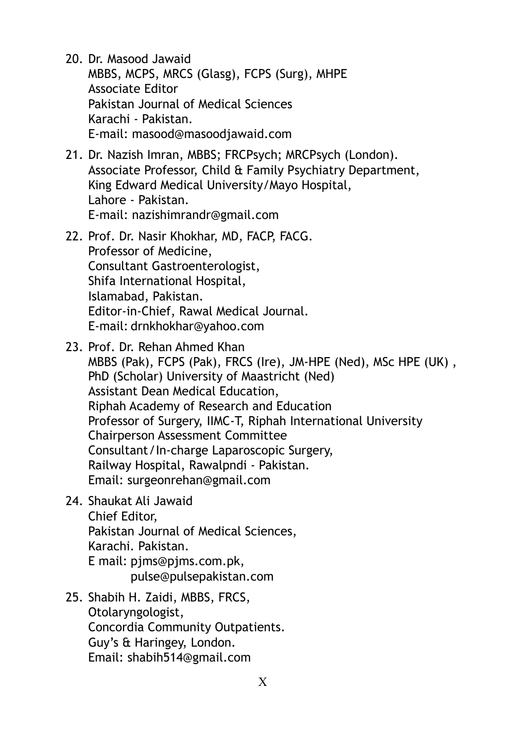- 20. Dr. Masood Jawaid MBBS, MCPS, MRCS (Glasg), FCPS (Surg), MHPE Associate Editor Pakistan Journal of Medical Sciences Karachi - Pakistan. E-mail: masood@masoodjawaid.com
- 21. Dr. Nazish Imran, MBBS; FRCPsych; MRCPsych (London). Associate Professor, Child & Family Psychiatry Department, King Edward Medical University/Mayo Hospital, Lahore - Pakistan. E-mail: nazishimrandr@gmail.com
- 22. Prof. Dr. Nasir Khokhar, MD, FACP, FACG. Professor of Medicine, Consultant Gastroenterologist, Shifa International Hospital, Islamabad, Pakistan. Editor-in-Chief, Rawal Medical Journal. E-mail: drnkhokhar@yahoo.com
- 23. Prof. Dr. Rehan Ahmed Khan MBBS (Pak), FCPS (Pak), FRCS (Ire), JM-HPE (Ned), MSc HPE (UK) , PhD (Scholar) University of Maastricht (Ned) Assistant Dean Medical Education, Riphah Academy of Research and Education Professor of Surgery, IIMC-T, Riphah International University Chairperson Assessment Committee Consultant/In-charge Laparoscopic Surgery, Railway Hospital, Rawalpndi - Pakistan. Email: surgeonrehan@gmail.com
- 24. Shaukat Ali Jawaid Chief Editor, Pakistan Journal of Medical Sciences, Karachi. Pakistan. E mail: [pjms@pjms.com.pk](mailto:pjms@pjms.com.pk), [pulse@pulsepakistan.com](mailto:pulse@pulsepakistan.com)
- 25. Shabih H. Zaidi, MBBS, FRCS, Otolaryngologist, Concordia Community Outpatients. Guy's & Haringey, London. Email: shabih514@gmail.com